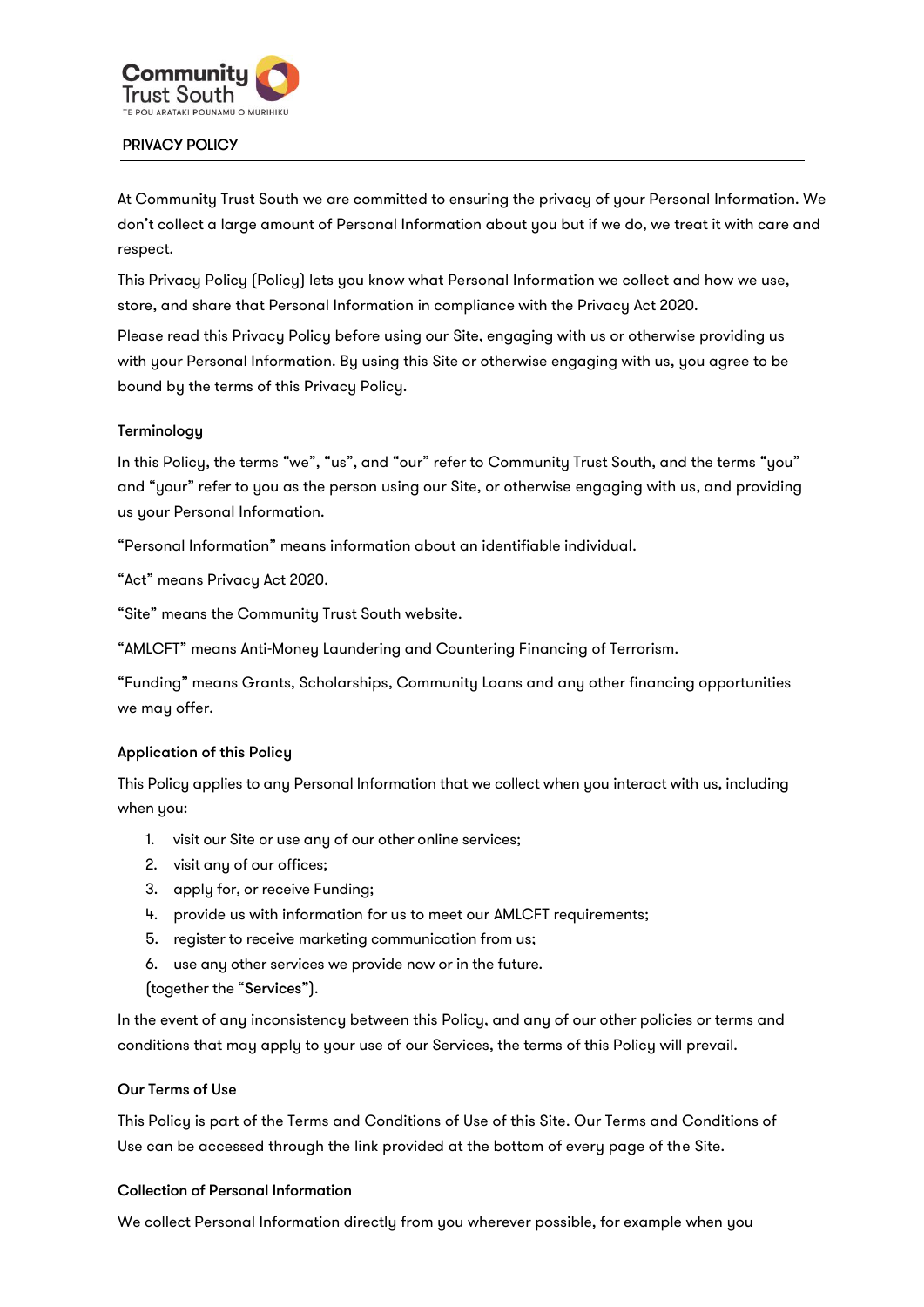

#### PRIVACY POLICY

At Community Trust South we are committed to ensuring the privacy of your Personal Information. We don't collect a large amount of Personal Information about you but if we do, we treat it with care and respect.

This Privacy Policy (Policy) lets you know what Personal Information we collect and how we use, store, and share that Personal Information in compliance with the Privacy Act 2020.

Please read this Privacy Policy before using our Site, engaging with us or otherwise providing us with your Personal Information. By using this Site or otherwise engaging with us, you agree to be bound by the terms of this Privacy Policy.

#### **Terminology**

In this Policy, the terms "we", "us", and "our" refer to Community Trust South, and the terms "you" and "your" refer to you as the person using our Site, or otherwise engaging with us, and providing us your Personal Information.

"Personal Information" means information about an identifiable individual.

"Act" means Privacy Act 2020.

"Site" means the Community Trust South website.

"AMLCFT" means Anti-Money Laundering and Countering Financing of Terrorism.

"Funding" means Grants, Scholarships, Community Loans and any other financing opportunities we may offer.

#### Application of this Policy

This Policy applies to any Personal Information that we collect when you interact with us, including when you:

- 1. visit our Site or use any of our other online services;
- 2. visit any of our offices;
- 3. apply for, or receive Funding;
- 4. provide us with information for us to meet our AMLCFT requirements;
- 5. register to receive marketing communication from us;
- 6. use any other services we provide now or in the future.
- (together the "Services").

In the event of any inconsistency between this Policy, and any of our other policies or terms and conditions that may apply to your use of our Services, the terms of this Policy will prevail.

#### Our Terms of Use

This Policy is part of the Terms and Conditions of Use of this Site. Our Terms and Conditions of Use can be accessed through the link provided at the bottom of every page of the Site.

#### Collection of Personal Information

We collect Personal Information directly from you wherever possible, for example when you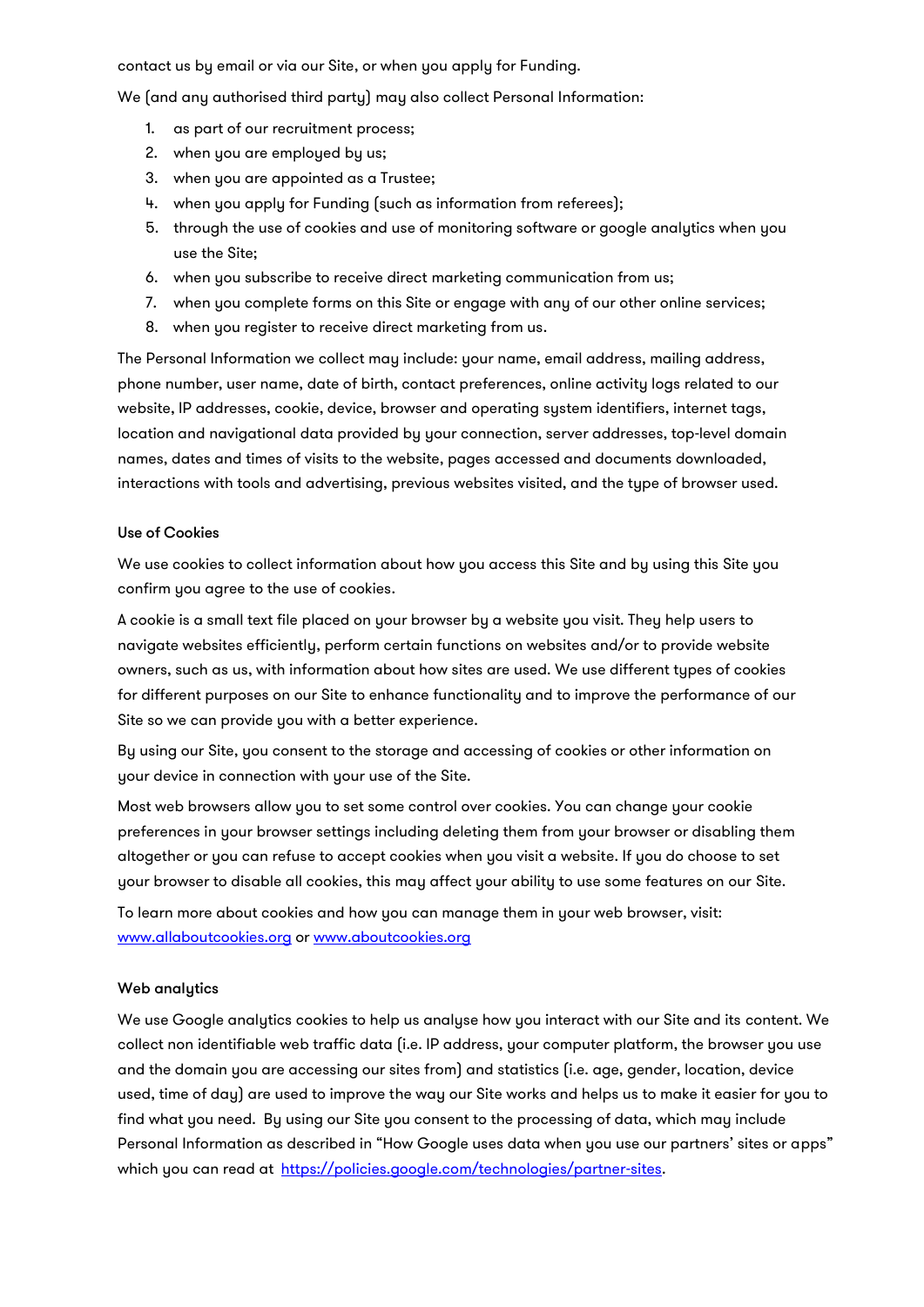contact us by email or via our Site, or when you apply for Funding.

We (and any authorised third party) may also collect Personal Information:

- 1. as part of our recruitment process;
- 2. when you are employed by us;
- 3. when you are appointed as a Trustee;
- 4. when you apply for Funding (such as information from referees);
- 5. through the use of cookies and use of monitoring software or google analytics when you use the Site;
- 6. when you subscribe to receive direct marketing communication from us;
- 7. when you complete forms on this Site or engage with any of our other online services;
- 8. when you register to receive direct marketing from us.

The Personal Information we collect may include: your name, email address, mailing address, phone number, user name, date of birth, contact preferences, online activity logs related to our website, IP addresses, cookie, device, browser and operating system identifiers, internet tags, location and navigational data provided by your connection, server addresses, top-level domain names, dates and times of visits to the website, pages accessed and documents downloaded, interactions with tools and advertising, previous websites visited, and the type of browser used.

#### Use of Cookies

We use cookies to collect information about how you access this Site and by using this Site you confirm you agree to the use of cookies.

A cookie is a small text file placed on your browser by a website you visit. They help users to navigate websites efficiently, perform certain functions on websites and/or to provide website owners, such as us, with information about how sites are used. We use different types of cookies for different purposes on our Site to enhance functionality and to improve the performance of our Site so we can provide you with a better experience.

By using our Site, you consent to the storage and accessing of cookies or other information on your device in connection with your use of the Site.

Most web browsers allow you to set some control over cookies. You can change your cookie preferences in your browser settings including deleting them from your browser or disabling them altogether or you can refuse to accept cookies when you visit a website. If you do choose to set your browser to disable all cookies, this may affect your ability to use some features on our Site.

To learn more about cookies and how you can manage them in your web browser, visit: [www.allaboutcookies.org](http://www.allaboutcookies.org/) or [www.aboutcookies.org](http://www.aboutcookies.org/)

#### Web analytics

We use Google analytics cookies to help us analyse how you interact with our Site and its content. We collect non identifiable web traffic data (i.e. IP address, your computer platform, the browser you use and the domain you are accessing our sites from) and statistics (i.e. age, gender, location, device used, time of day) are used to improve the way our Site works and helps us to make it easier for you to find what you need. By using our Site you consent to the processing of data, which may include Personal Information as described in "How Google uses data when you use our partners' sites or apps" which you can read at [https://policies.google.com/technologies/partner-sites.](https://policies.google.com/technologies/partner-sites)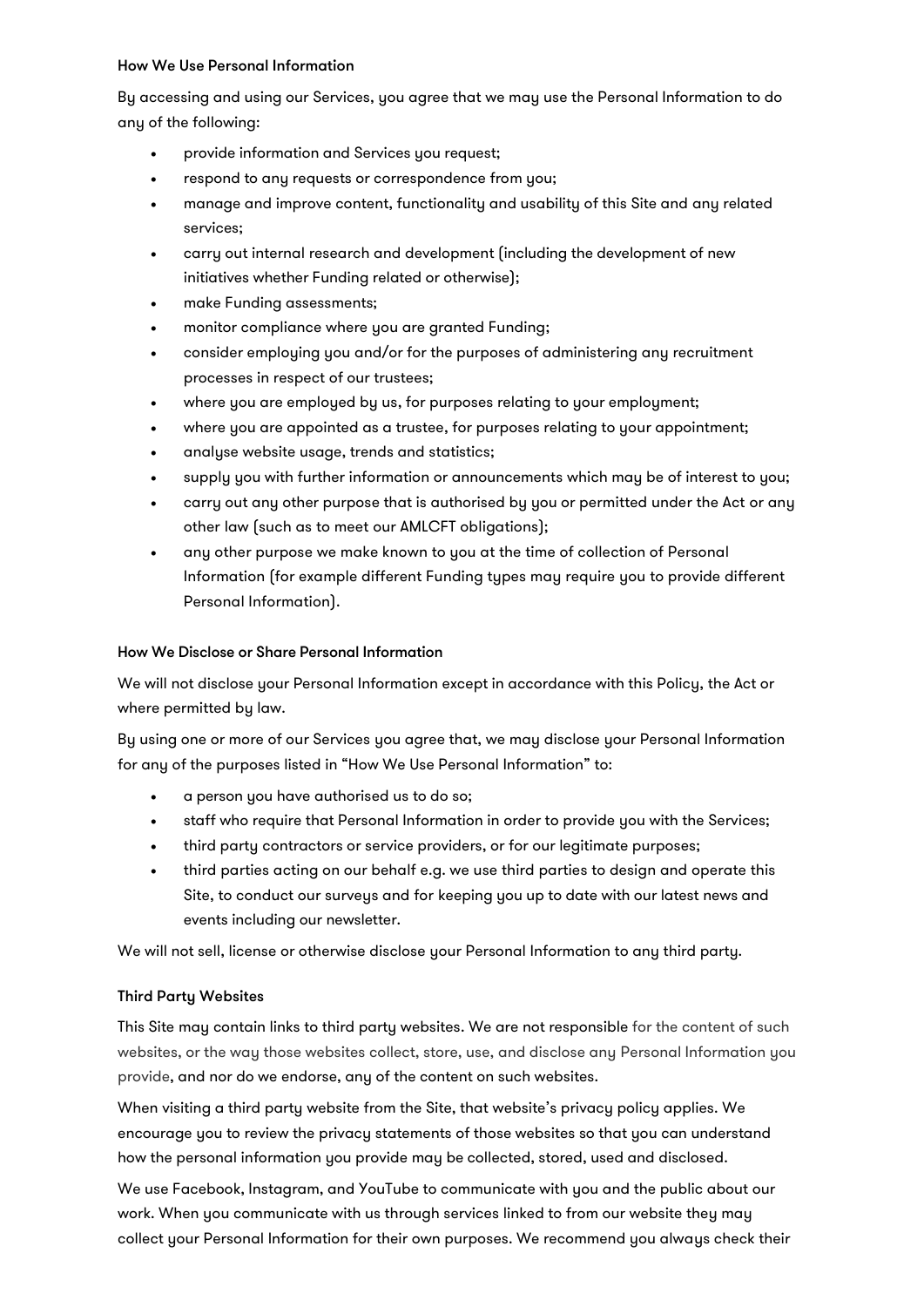#### How We Use Personal Information

By accessing and using our Services, you agree that we may use the Personal Information to do any of the following:

- provide information and Services you request;
- respond to any requests or correspondence from you;
- manage and improve content, functionality and usability of this Site and any related services;
- carry out internal research and development (including the development of new initiatives whether Funding related or otherwise);
- make Funding assessments;
- monitor compliance where you are granted Funding;
- consider employing you and/or for the purposes of administering any recruitment processes in respect of our trustees;
- where you are employed by us, for purposes relating to your employment;
- where you are appointed as a trustee, for purposes relating to your appointment;
- analyse website usage, trends and statistics;
- supply you with further information or announcements which may be of interest to you;
- carry out any other purpose that is authorised by you or permitted under the Act or any other law (such as to meet our AMLCFT obligations);
- any other purpose we make known to you at the time of collection of Personal Information (for example different Funding types may require you to provide different Personal Information).

# How We Disclose or Share Personal Information

We will not disclose your Personal Information except in accordance with this Policy, the Act or where permitted by law.

By using one or more of our Services you agree that, we may disclose your Personal Information for any of the purposes listed in "How We Use Personal Information" to:

- a person you have authorised us to do so;
- staff who require that Personal Information in order to provide you with the Services;
- third party contractors or service providers, or for our legitimate purposes;
- third parties acting on our behalf e.g. we use third parties to design and operate this Site, to conduct our surveys and for keeping you up to date with our latest news and events including our newsletter.

We will not sell, license or otherwise disclose your Personal Information to any third party.

# Third Party Websites

This Site may contain links to third party websites. We are not responsible for the content of such websites, or the way those websites collect, store, use, and disclose any Personal Information you provide, and nor do we endorse, any of the content on such websites.

When visiting a third party website from the Site, that website's privacy policy applies. We encourage you to review the privacy statements of those websites so that you can understand how the personal information you provide may be collected, stored, used and disclosed.

We use Facebook, Instagram, and YouTube to communicate with you and the public about our work. When you communicate with us through services linked to from our website they may collect your Personal Information for their own purposes. We recommend you always check their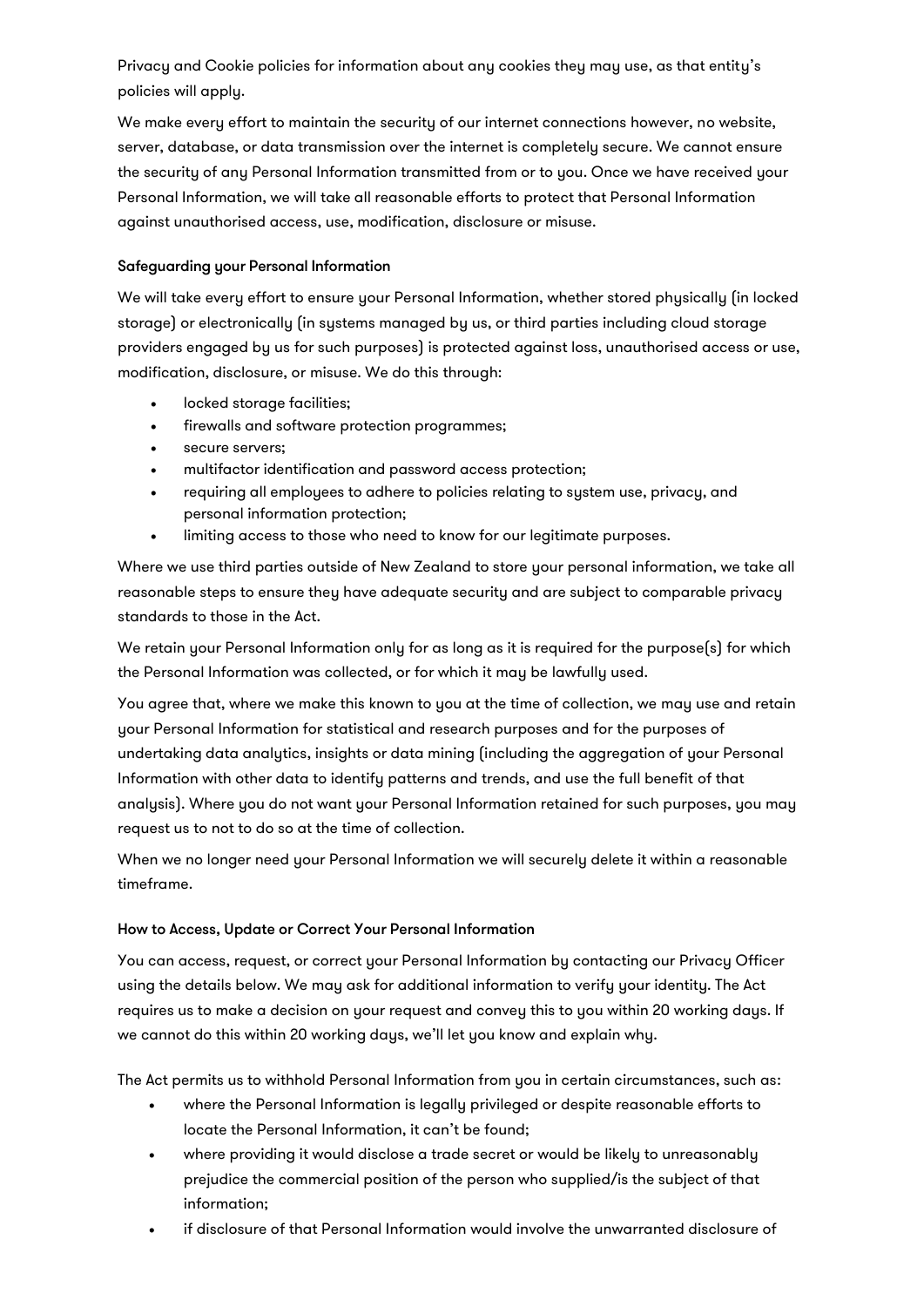Privacy and Cookie policies for information about any cookies they may use, as that entity's policies will apply.

We make every effort to maintain the security of our internet connections however, no website, server, database, or data transmission over the internet is completely secure. We cannot ensure the security of any Personal Information transmitted from or to you. Once we have received your Personal Information, we will take all reasonable efforts to protect that Personal Information against unauthorised access, use, modification, disclosure or misuse.

## Safeguarding your Personal Information

We will take every effort to ensure your Personal Information, whether stored physically (in locked storage) or electronically (in systems managed by us, or third parties including cloud storage providers engaged by us for such purposes) is protected against loss, unauthorised access or use, modification, disclosure, or misuse. We do this through:

- locked storage facilities;
- firewalls and software protection programmes;
- secure servers;
- multifactor identification and password access protection;
- requiring all employees to adhere to policies relating to system use, privacy, and personal information protection;
- limiting access to those who need to know for our legitimate purposes.

Where we use third parties outside of New Zealand to store your personal information, we take all reasonable steps to ensure they have adequate security and are subject to comparable privacy standards to those in the Act.

We retain your Personal Information only for as long as it is required for the purpose(s) for which the Personal Information was collected, or for which it may be lawfully used.

You agree that, where we make this known to you at the time of collection, we may use and retain your Personal Information for statistical and research purposes and for the purposes of undertaking data analytics, insights or data mining (including the aggregation of your Personal Information with other data to identify patterns and trends, and use the full benefit of that analysis). Where you do not want your Personal Information retained for such purposes, you may request us to not to do so at the time of collection.

When we no longer need your Personal Information we will securely delete it within a reasonable timeframe.

#### How to Access, Update or Correct Your Personal Information

You can access, request, or correct your Personal Information by contacting our Privacy Officer using the details below. We may ask for additional information to verify your identity. The Act requires us to make a decision on your request and convey this to you within 20 working days. If we cannot do this within 20 working days, we'll let you know and explain why.

The Act permits us to withhold Personal Information from you in certain circumstances, such as:

- where the Personal Information is legally privileged or despite reasonable efforts to locate the Personal Information, it can't be found;
- where providing it would disclose a trade secret or would be likely to unreasonably prejudice the commercial position of the person who supplied/is the subject of that information;
- if disclosure of that Personal Information would involve the unwarranted disclosure of